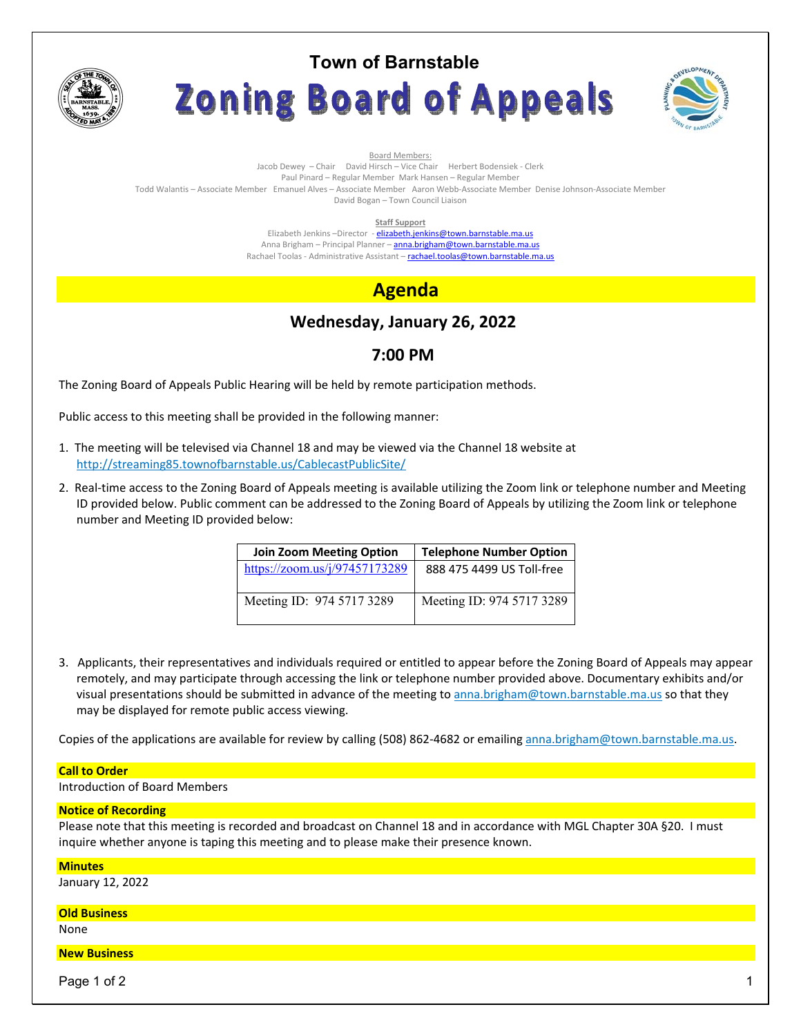

# **Town of Barnstable** Zoning Board of Appeals



Board Members: Jacob Dewey – Chair David Hirsch – Vice Chair Herbert Bodensiek - Clerk Paul Pinard – Regular Member Mark Hansen – Regular Member Todd Walantis – Associate Member Emanuel Alves – Associate Member Aaron Webb-Associate Member Denise Johnson-Associate Member David Bogan – Town Council Liaison

**Staff Support** 

Elizabeth Jenkins -Director - elizabeth.jenkins@town.barnstable.ma.us Anna Brigham - Principal Planner - anna.brigham@town.barnstable.ma.us Rachael Toolas - Administrative Assistant - rachael.toolas@town.barnstable.ma.us

# **Agenda**

# **Wednesday, January 26, 2022**

## **7:00 PM**

The Zoning Board of Appeals Public Hearing will be held by remote participation methods.

Public access to this meeting shall be provided in the following manner:

- 1. The meeting will be televised via Channel 18 and may be viewed via the Channel 18 website at http://streaming85.townofbarnstable.us/CablecastPublicSite/
- 2. Real-time access to the Zoning Board of Appeals meeting is available utilizing the Zoom link or telephone number and Meeting ID provided below. Public comment can be addressed to the Zoning Board of Appeals by utilizing the Zoom link or telephone number and Meeting ID provided below:

| <b>Join Zoom Meeting Option</b> | <b>Telephone Number Option</b> |
|---------------------------------|--------------------------------|
| https://zoom.us/j/97457173289   | 888 475 4499 US Toll-free      |
| Meeting ID: 974 5717 3289       | Meeting ID: 974 5717 3289      |

3. Applicants, their representatives and individuals required or entitled to appear before the Zoning Board of Appeals may appear remotely, and may participate through accessing the link or telephone number provided above. Documentary exhibits and/or visual presentations should be submitted in advance of the meeting to anna.brigham@town.barnstable.ma.us so that they may be displayed for remote public access viewing.

Copies of the applications are available for review by calling (508) 862-4682 or emailing anna.brigham@town.barnstable.ma.us.

### **Call to Order**

Introduction of Board Members

### **Notice of Recording**

Please note that this meeting is recorded and broadcast on Channel 18 and in accordance with MGL Chapter 30A §20. I must inquire whether anyone is taping this meeting and to please make their presence known.

### **Minutes**

January 12, 2022

### **Old Business**

None

### **New Business**

Page 1 of 2  $\hphantom{\ddots}$